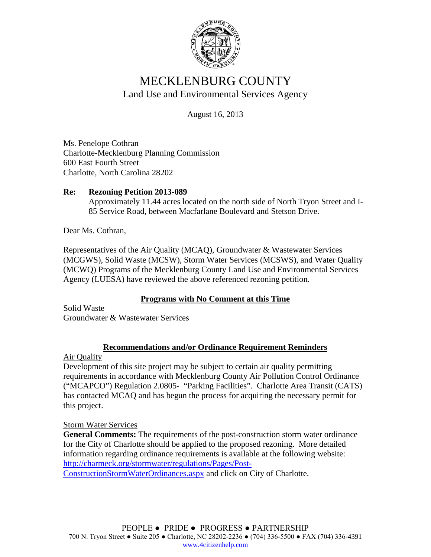

# MECKLENBURG COUNTY Land Use and Environmental Services Agency

August 16, 2013

Ms. Penelope Cothran Charlotte-Mecklenburg Planning Commission 600 East Fourth Street Charlotte, North Carolina 28202

## **Re: Rezoning Petition 2013-089**

Approximately 11.44 acres located on the north side of North Tryon Street and I-85 Service Road, between Macfarlane Boulevard and Stetson Drive.

Dear Ms. Cothran,

Representatives of the Air Quality (MCAQ), Groundwater & Wastewater Services (MCGWS), Solid Waste (MCSW), Storm Water Services (MCSWS), and Water Quality (MCWQ) Programs of the Mecklenburg County Land Use and Environmental Services Agency (LUESA) have reviewed the above referenced rezoning petition.

### **Programs with No Comment at this Time**

Solid Waste Groundwater & Wastewater Services

### **Recommendations and/or Ordinance Requirement Reminders**

Air Quality

Development of this site project may be subject to certain air quality permitting requirements in accordance with Mecklenburg County Air Pollution Control Ordinance ("MCAPCO") Regulation 2.0805- "Parking Facilities". Charlotte Area Transit (CATS) has contacted MCAQ and has begun the process for acquiring the necessary permit for this project.

### Storm Water Services

**General Comments:** The requirements of the post-construction storm water ordinance for the City of Charlotte should be applied to the proposed rezoning. More detailed information regarding ordinance requirements is available at the following website: [http://charmeck.org/stormwater/regulations/Pages/Post-](http://charmeck.org/stormwater/regulations/Pages/Post-ConstructionStormWaterOrdinances.aspx)[ConstructionStormWaterOrdinances.aspx](http://charmeck.org/stormwater/regulations/Pages/Post-ConstructionStormWaterOrdinances.aspx) and click on City of Charlotte.